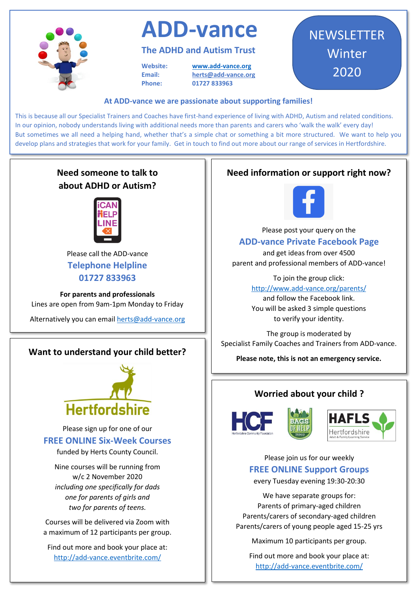

# **ADD-vance**

#### **The ADHD and Autism Trust**

**Website: www.add-vance.org Email: [herts@add-vance.org](about:blank) Phone: 01727 833963**

### **NEWSLETTER** Winter 2020

#### **At ADD-vance we are passionate about supporting families!**

This is because all our Specialist Trainers and Coaches have first-hand experience of living with ADHD, Autism and related conditions. In our opinion, nobody understands living with additional needs more than parents and carers who 'walk the walk' every day! But sometimes we all need a helping hand, whether that's a simple chat or something a bit more structured. We want to help you develop plans and strategies that work for your family. Get in touch to find out more about our range of services in Hertfordshire.

### **Need someone to talk to about ADHD or Autism?**



Please call the ADD-vance **Telephone Helpline 01727 833963**

**For parents and professionals** Lines are open from 9am-1pm Monday to Friday

Alternatively you can emai[l herts@add-vance.org](about:blank)

#### **Want to understand your child better?**



Please sign up for one of our **FREE ONLINE Six-Week Courses** 

funded by Herts County Council.

Nine courses will be running from w/c 2 November 2020 *including one specifically for dads one for parents of girls and two for parents of teens.*

Courses will be delivered via Zoom with a maximum of 12 participants per group.

Find out more and book your place at: http://add-vance.eventbrite.com/

#### **Need information or support right now?**



Please post your query on the **ADD-vance Private Facebook Page**

and get ideas from over 4500 parent and professional members of ADD-vance!

> To join the group click: http://www.add-vance.org/parents/ and follow the Facebook link. You will be asked 3 simple questions to verify your identity.

The group is moderated by Specialist Family Coaches and Trainers from ADD-vance.

**Please note, this is not an emergency service.**

#### **Worried about your child ?**





Please join us for our weekly **FREE ONLINE Support Groups** 

every Tuesday evening 19:30-20:30

We have separate groups for: Parents of primary-aged children Parents/carers of secondary-aged children Parents/carers of young people aged 15-25 yrs

Maximum 10 participants per group.

Find out more and book your place at: http://add-vance.eventbrite.com/